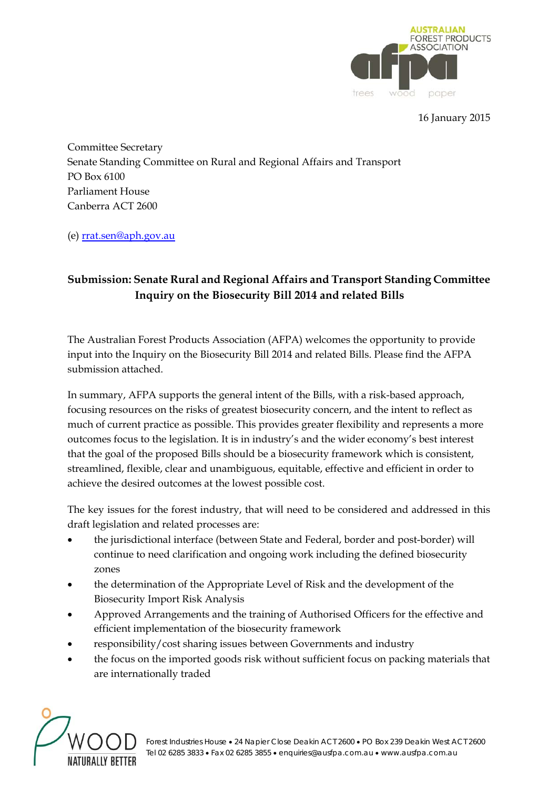

16 January 2015

Committee Secretary Senate Standing Committee on Rural and Regional Affairs and Transport PO Box 6100 Parliament House Canberra ACT 2600

(e) rrat.sen@aph.gov.au

# **Submission: Senate Rural and Regional Affairs and Transport Standing Committee Inquiry on the Biosecurity Bill 2014 and related Bills**

The Australian Forest Products Association (AFPA) welcomes the opportunity to provide input into the Inquiry on the Biosecurity Bill 2014 and related Bills. Please find the AFPA submission attached.

In summary, AFPA supports the general intent of the Bills, with a risk-based approach, focusing resources on the risks of greatest biosecurity concern, and the intent to reflect as much of current practice as possible. This provides greater flexibility and represents a more outcomes focus to the legislation. It is in industry's and the wider economy's best interest that the goal of the proposed Bills should be a biosecurity framework which is consistent, streamlined, flexible, clear and unambiguous, equitable, effective and efficient in order to achieve the desired outcomes at the lowest possible cost.

The key issues for the forest industry, that will need to be considered and addressed in this draft legislation and related processes are:

- the jurisdictional interface (between State and Federal, border and post-border) will continue to need clarification and ongoing work including the defined biosecurity zones
- the determination of the Appropriate Level of Risk and the development of the Biosecurity Import Risk Analysis
- Approved Arrangements and the training of Authorised Officers for the effective and efficient implementation of the biosecurity framework
- responsibility/cost sharing issues between Governments and industry
- the focus on the imported goods risk without sufficient focus on packing materials that are internationally traded

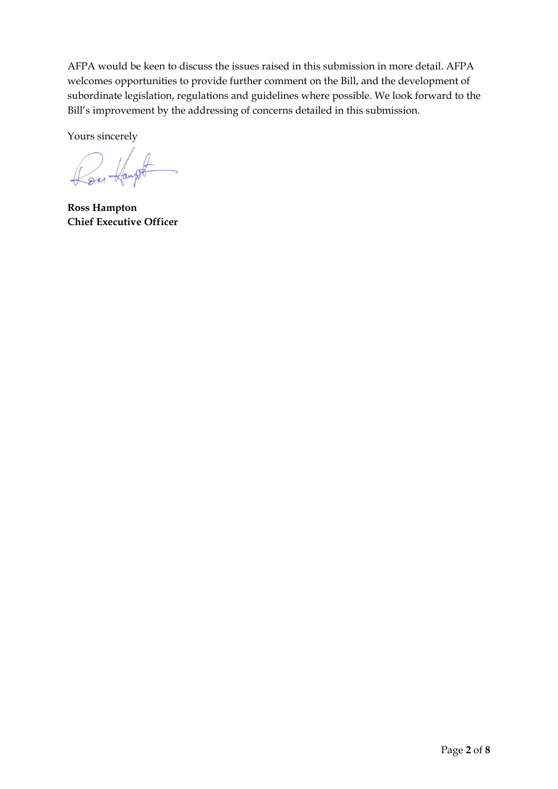AFPA would be keen to discuss the issues raised in this submission in more detail. AFPA welcomes opportunities to provide further comment on the Bill, and the development of subordinate legislation, regulations and guidelines where possible. We look forward to the Bill's improvement by the addressing of concerns detailed in this submission.

Yours sincerely

Con Hampt

**Ross Hampton Chief Executive Officer**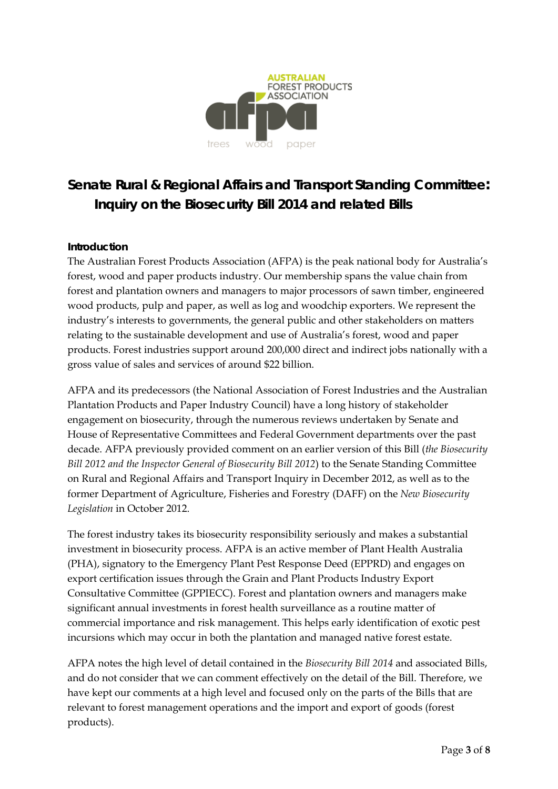

# **Senate Rural & Regional Affairs and Transport Standing Committee: Inquiry on the Biosecurity Bill 2014 and related Bills**

#### **Introduction**

The Australian Forest Products Association (AFPA) is the peak national body for Australia's forest, wood and paper products industry. Our membership spans the value chain from forest and plantation owners and managers to major processors of sawn timber, engineered wood products, pulp and paper, as well as log and woodchip exporters. We represent the industry's interests to governments, the general public and other stakeholders on matters relating to the sustainable development and use of Australia's forest, wood and paper products. Forest industries support around 200,000 direct and indirect jobs nationally with a gross value of sales and services of around \$22 billion.

AFPA and its predecessors (the National Association of Forest Industries and the Australian Plantation Products and Paper Industry Council) have a long history of stakeholder engagement on biosecurity, through the numerous reviews undertaken by Senate and House of Representative Committees and Federal Government departments over the past decade. AFPA previously provided comment on an earlier version of this Bill (*the Biosecurity Bill 2012 and the Inspector General of Biosecurity Bill 2012*) to the Senate Standing Committee on Rural and Regional Affairs and Transport Inquiry in December 2012, as well as to the former Department of Agriculture, Fisheries and Forestry (DAFF) on the *New Biosecurity Legislation* in October 2012.

The forest industry takes its biosecurity responsibility seriously and makes a substantial investment in biosecurity process. AFPA is an active member of Plant Health Australia (PHA), signatory to the Emergency Plant Pest Response Deed (EPPRD) and engages on export certification issues through the Grain and Plant Products Industry Export Consultative Committee (GPPIECC). Forest and plantation owners and managers make significant annual investments in forest health surveillance as a routine matter of commercial importance and risk management. This helps early identification of exotic pest incursions which may occur in both the plantation and managed native forest estate.

AFPA notes the high level of detail contained in the *Biosecurity Bill 2014* and associated Bills, and do not consider that we can comment effectively on the detail of the Bill. Therefore, we have kept our comments at a high level and focused only on the parts of the Bills that are relevant to forest management operations and the import and export of goods (forest products).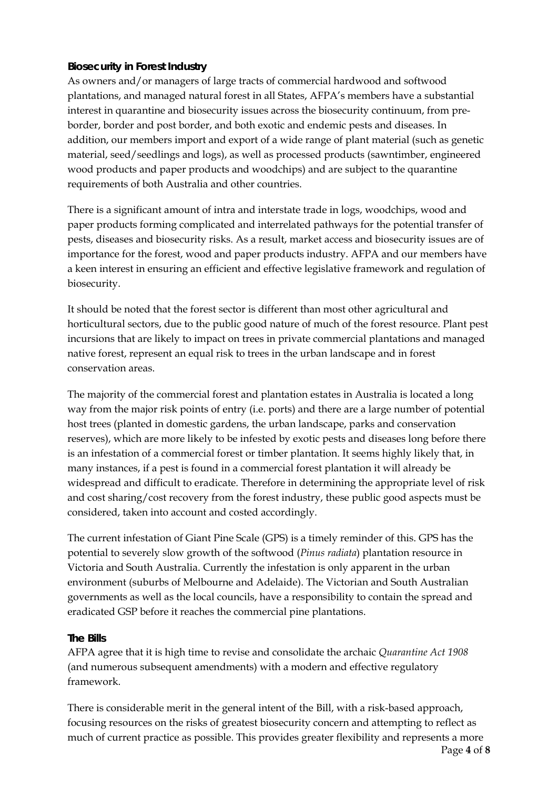# **Biosecurity in Forest Industry**

As owners and/or managers of large tracts of commercial hardwood and softwood plantations, and managed natural forest in all States, AFPA's members have a substantial interest in quarantine and biosecurity issues across the biosecurity continuum, from preborder, border and post border, and both exotic and endemic pests and diseases. In addition, our members import and export of a wide range of plant material (such as genetic material, seed/seedlings and logs), as well as processed products (sawntimber, engineered wood products and paper products and woodchips) and are subject to the quarantine requirements of both Australia and other countries.

There is a significant amount of intra and interstate trade in logs, woodchips, wood and paper products forming complicated and interrelated pathways for the potential transfer of pests, diseases and biosecurity risks. As a result, market access and biosecurity issues are of importance for the forest, wood and paper products industry. AFPA and our members have a keen interest in ensuring an efficient and effective legislative framework and regulation of biosecurity.

It should be noted that the forest sector is different than most other agricultural and horticultural sectors, due to the public good nature of much of the forest resource. Plant pest incursions that are likely to impact on trees in private commercial plantations and managed native forest, represent an equal risk to trees in the urban landscape and in forest conservation areas.

The majority of the commercial forest and plantation estates in Australia is located a long way from the major risk points of entry (i.e. ports) and there are a large number of potential host trees (planted in domestic gardens, the urban landscape, parks and conservation reserves), which are more likely to be infested by exotic pests and diseases long before there is an infestation of a commercial forest or timber plantation. It seems highly likely that, in many instances, if a pest is found in a commercial forest plantation it will already be widespread and difficult to eradicate. Therefore in determining the appropriate level of risk and cost sharing/cost recovery from the forest industry, these public good aspects must be considered, taken into account and costed accordingly.

The current infestation of Giant Pine Scale (GPS) is a timely reminder of this. GPS has the potential to severely slow growth of the softwood (*Pinus radiata*) plantation resource in Victoria and South Australia. Currently the infestation is only apparent in the urban environment (suburbs of Melbourne and Adelaide). The Victorian and South Australian governments as well as the local councils, have a responsibility to contain the spread and eradicated GSP before it reaches the commercial pine plantations.

#### **The Bills**

AFPA agree that it is high time to revise and consolidate the archaic *Quarantine Act 1908* (and numerous subsequent amendments) with a modern and effective regulatory framework.

There is considerable merit in the general intent of the Bill, with a risk-based approach, focusing resources on the risks of greatest biosecurity concern and attempting to reflect as much of current practice as possible. This provides greater flexibility and represents a more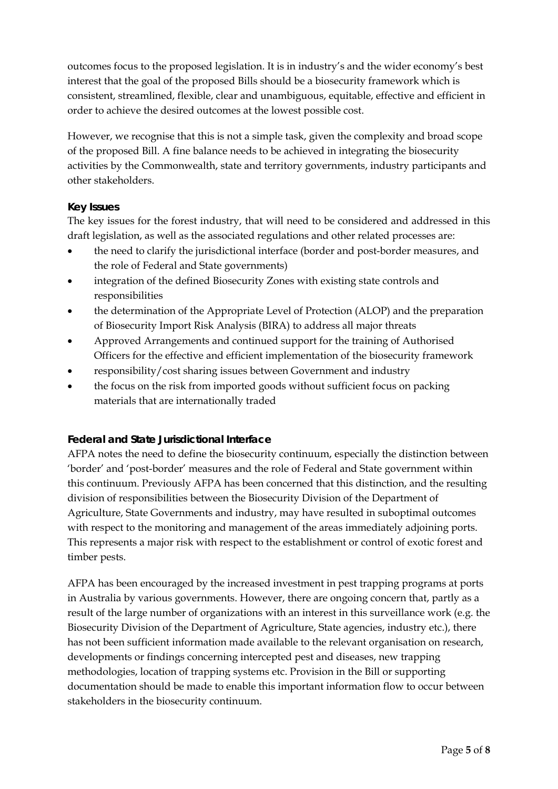outcomes focus to the proposed legislation. It is in industry's and the wider economy's best interest that the goal of the proposed Bills should be a biosecurity framework which is consistent, streamlined, flexible, clear and unambiguous, equitable, effective and efficient in order to achieve the desired outcomes at the lowest possible cost.

However, we recognise that this is not a simple task, given the complexity and broad scope of the proposed Bill. A fine balance needs to be achieved in integrating the biosecurity activities by the Commonwealth, state and territory governments, industry participants and other stakeholders.

# **Key Issues**

The key issues for the forest industry, that will need to be considered and addressed in this draft legislation, as well as the associated regulations and other related processes are:

- the need to clarify the jurisdictional interface (border and post-border measures, and the role of Federal and State governments)
- integration of the defined Biosecurity Zones with existing state controls and responsibilities
- the determination of the Appropriate Level of Protection (ALOP) and the preparation of Biosecurity Import Risk Analysis (BIRA) to address all major threats
- Approved Arrangements and continued support for the training of Authorised Officers for the effective and efficient implementation of the biosecurity framework
- responsibility/cost sharing issues between Government and industry
- the focus on the risk from imported goods without sufficient focus on packing materials that are internationally traded

# **Federal and State Jurisdictional Interface**

AFPA notes the need to define the biosecurity continuum, especially the distinction between 'border' and 'post-border' measures and the role of Federal and State government within this continuum. Previously AFPA has been concerned that this distinction, and the resulting division of responsibilities between the Biosecurity Division of the Department of Agriculture, State Governments and industry, may have resulted in suboptimal outcomes with respect to the monitoring and management of the areas immediately adjoining ports. This represents a major risk with respect to the establishment or control of exotic forest and timber pests.

AFPA has been encouraged by the increased investment in pest trapping programs at ports in Australia by various governments. However, there are ongoing concern that, partly as a result of the large number of organizations with an interest in this surveillance work (e.g. the Biosecurity Division of the Department of Agriculture, State agencies, industry etc.), there has not been sufficient information made available to the relevant organisation on research, developments or findings concerning intercepted pest and diseases, new trapping methodologies, location of trapping systems etc. Provision in the Bill or supporting documentation should be made to enable this important information flow to occur between stakeholders in the biosecurity continuum.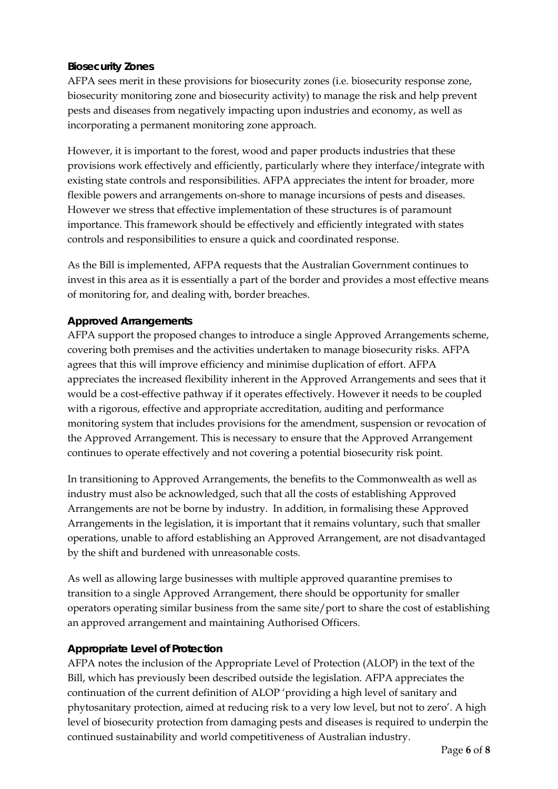# **Biosecurity Zones**

AFPA sees merit in these provisions for biosecurity zones (i.e. biosecurity response zone, biosecurity monitoring zone and biosecurity activity) to manage the risk and help prevent pests and diseases from negatively impacting upon industries and economy, as well as incorporating a permanent monitoring zone approach.

However, it is important to the forest, wood and paper products industries that these provisions work effectively and efficiently, particularly where they interface/integrate with existing state controls and responsibilities. AFPA appreciates the intent for broader, more flexible powers and arrangements on-shore to manage incursions of pests and diseases. However we stress that effective implementation of these structures is of paramount importance. This framework should be effectively and efficiently integrated with states controls and responsibilities to ensure a quick and coordinated response.

As the Bill is implemented, AFPA requests that the Australian Government continues to invest in this area as it is essentially a part of the border and provides a most effective means of monitoring for, and dealing with, border breaches.

#### **Approved Arrangements**

AFPA support the proposed changes to introduce a single Approved Arrangements scheme, covering both premises and the activities undertaken to manage biosecurity risks. AFPA agrees that this will improve efficiency and minimise duplication of effort. AFPA appreciates the increased flexibility inherent in the Approved Arrangements and sees that it would be a cost-effective pathway if it operates effectively. However it needs to be coupled with a rigorous, effective and appropriate accreditation, auditing and performance monitoring system that includes provisions for the amendment, suspension or revocation of the Approved Arrangement. This is necessary to ensure that the Approved Arrangement continues to operate effectively and not covering a potential biosecurity risk point.

In transitioning to Approved Arrangements, the benefits to the Commonwealth as well as industry must also be acknowledged, such that all the costs of establishing Approved Arrangements are not be borne by industry. In addition, in formalising these Approved Arrangements in the legislation, it is important that it remains voluntary, such that smaller operations, unable to afford establishing an Approved Arrangement, are not disadvantaged by the shift and burdened with unreasonable costs.

As well as allowing large businesses with multiple approved quarantine premises to transition to a single Approved Arrangement, there should be opportunity for smaller operators operating similar business from the same site/port to share the cost of establishing an approved arrangement and maintaining Authorised Officers.

#### **Appropriate Level of Protection**

AFPA notes the inclusion of the Appropriate Level of Protection (ALOP) in the text of the Bill, which has previously been described outside the legislation. AFPA appreciates the continuation of the current definition of ALOP 'providing a high level of sanitary and phytosanitary protection, aimed at reducing risk to a very low level, but not to zero'. A high level of biosecurity protection from damaging pests and diseases is required to underpin the continued sustainability and world competitiveness of Australian industry.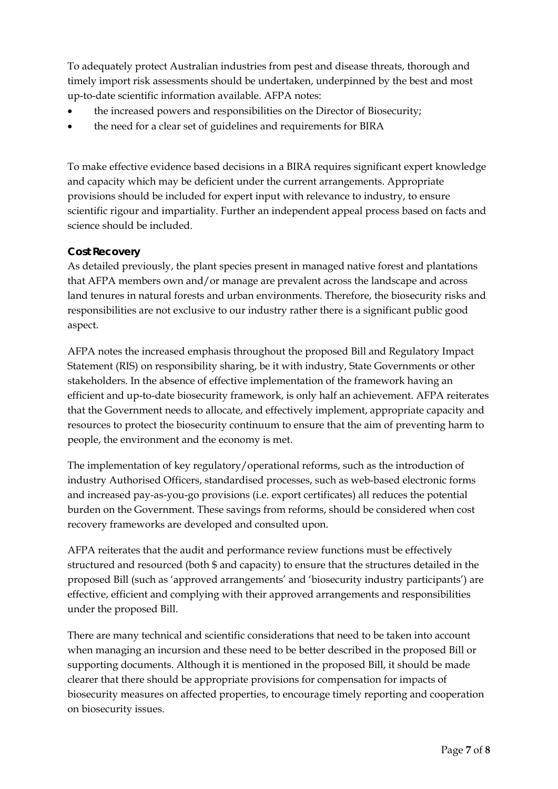To adequately protect Australian industries from pest and disease threats, thorough and timely import risk assessments should be undertaken, underpinned by the best and most up-to-date scientific information available. AFPA notes:

- the increased powers and responsibilities on the Director of Biosecurity;
- the need for a clear set of guidelines and requirements for BIRA

To make effective evidence based decisions in a BIRA requires significant expert knowledge and capacity which may be deficient under the current arrangements. Appropriate provisions should be included for expert input with relevance to industry, to ensure scientific rigour and impartiality. Further an independent appeal process based on facts and science should be included.

#### **Cost Recovery**

As detailed previously, the plant species present in managed native forest and plantations that AFPA members own and/or manage are prevalent across the landscape and across land tenures in natural forests and urban environments. Therefore, the biosecurity risks and responsibilities are not exclusive to our industry rather there is a significant public good aspect.

AFPA notes the increased emphasis throughout the proposed Bill and Regulatory Impact Statement (RIS) on responsibility sharing, be it with industry, State Governments or other stakeholders. In the absence of effective implementation of the framework having an efficient and up-to-date biosecurity framework, is only half an achievement. AFPA reiterates that the Government needs to allocate, and effectively implement, appropriate capacity and resources to protect the biosecurity continuum to ensure that the aim of preventing harm to people, the environment and the economy is met.

The implementation of key regulatory/operational reforms, such as the introduction of industry Authorised Officers, standardised processes, such as web-based electronic forms and increased pay-as-you-go provisions (i.e. export certificates) all reduces the potential burden on the Government. These savings from reforms, should be considered when cost recovery frameworks are developed and consulted upon.

AFPA reiterates that the audit and performance review functions must be effectively structured and resourced (both \$ and capacity) to ensure that the structures detailed in the proposed Bill (such as 'approved arrangements' and 'biosecurity industry participants') are effective, efficient and complying with their approved arrangements and responsibilities under the proposed Bill.

There are many technical and scientific considerations that need to be taken into account when managing an incursion and these need to be better described in the proposed Bill or supporting documents. Although it is mentioned in the proposed Bill, it should be made clearer that there should be appropriate provisions for compensation for impacts of biosecurity measures on affected properties, to encourage timely reporting and cooperation on biosecurity issues.